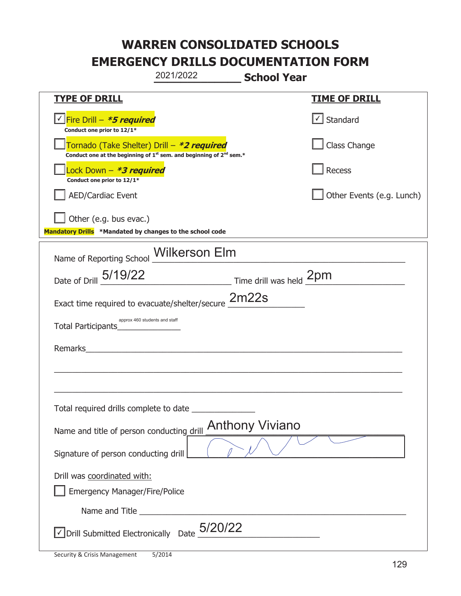|                                                                                    | 2021/2022                                                                                   | <b>School Year</b>     |                                   |
|------------------------------------------------------------------------------------|---------------------------------------------------------------------------------------------|------------------------|-----------------------------------|
| <b>TYPE OF DRILL</b>                                                               |                                                                                             |                        | <b>TIME OF DRILL</b>              |
| Conduct one prior to 12/1*                                                         |                                                                                             |                        | $\lfloor \angle \rfloor$ Standard |
| Tornado (Take Shelter) Drill – *2 required                                         | Conduct one at the beginning of 1 <sup>st</sup> sem. and beginning of 2 <sup>nd</sup> sem.* |                        | Class Change                      |
| Lock Down - *3 required<br>Conduct one prior to 12/1*                              |                                                                                             |                        | Recess                            |
| <b>AED/Cardiac Event</b>                                                           |                                                                                             |                        | Other Events (e.g. Lunch)         |
| Other (e.g. bus evac.)<br>Mandatory Drills *Mandated by changes to the school code |                                                                                             |                        |                                   |
| Name of Reporting School Milkerson Elm                                             |                                                                                             |                        |                                   |
| Date of Drill 5/19/22                                                              |                                                                                             |                        |                                   |
| Exact time required to evacuate/shelter/secure 2m22s                               |                                                                                             |                        |                                   |
| Total Participants                                                                 | approx 460 students and staff                                                               |                        |                                   |
| Remarks                                                                            |                                                                                             |                        |                                   |
|                                                                                    |                                                                                             |                        |                                   |
| Total required drills complete to date _                                           |                                                                                             |                        |                                   |
| Name and title of person conducting drill                                          |                                                                                             | <b>Anthony Viviano</b> |                                   |
| Signature of person conducting drill                                               |                                                                                             |                        |                                   |
| Drill was coordinated with:<br><b>Emergency Manager/Fire/Police</b>                |                                                                                             |                        |                                   |
|                                                                                    |                                                                                             |                        |                                   |
| $\sqrt{\text{Drill}}$ Submitted Electronically Date $_{2}^{5/20/22}$               |                                                                                             |                        |                                   |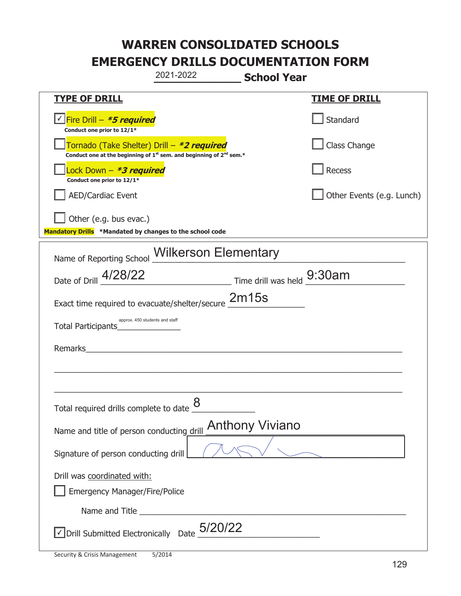|                                                                                    | 2021-2022                                                                                   | <b>School Year</b>     |                           |
|------------------------------------------------------------------------------------|---------------------------------------------------------------------------------------------|------------------------|---------------------------|
| <b>TYPE OF DRILL</b>                                                               |                                                                                             |                        | <b>TIME OF DRILL</b>      |
| <u>√ Fire Drill – <i>*5 required</i></u><br>Conduct one prior to 12/1*             |                                                                                             |                        | Standard                  |
| Tornado (Take Shelter) Drill – *2 required                                         | Conduct one at the beginning of 1 <sup>st</sup> sem. and beginning of 2 <sup>nd</sup> sem.* |                        | Class Change              |
| Lock Down - <b><i>*3 required</i></b><br>Conduct one prior to 12/1*                |                                                                                             |                        | <b>Recess</b>             |
| <b>AED/Cardiac Event</b>                                                           |                                                                                             |                        | Other Events (e.g. Lunch) |
| Other (e.g. bus evac.)<br>Mandatory Drills *Mandated by changes to the school code |                                                                                             |                        |                           |
| Name of Reporting School <b>Wilkerson Elementary</b>                               |                                                                                             |                        |                           |
| Date of Drill 4/28/22                                                              | Time drill was held 9:30am                                                                  |                        |                           |
| Exact time required to evacuate/shelter/secure 2m15s                               |                                                                                             |                        |                           |
| approx. 450 students and staff<br>Total Participants                               |                                                                                             |                        |                           |
| Remarks                                                                            |                                                                                             |                        |                           |
|                                                                                    |                                                                                             |                        |                           |
| Total required drills complete to date $\frac{8}{5}$                               |                                                                                             |                        |                           |
| Name and title of person conducting drill                                          |                                                                                             | <b>Anthony Viviano</b> |                           |
| Signature of person conducting drill                                               |                                                                                             |                        |                           |
| Drill was coordinated with:<br><b>Emergency Manager/Fire/Police</b>                |                                                                                             |                        |                           |
|                                                                                    |                                                                                             |                        |                           |
| $\overline{\mathcal{L}}$ Drill Submitted Electronically Date $5/20/22$             |                                                                                             |                        |                           |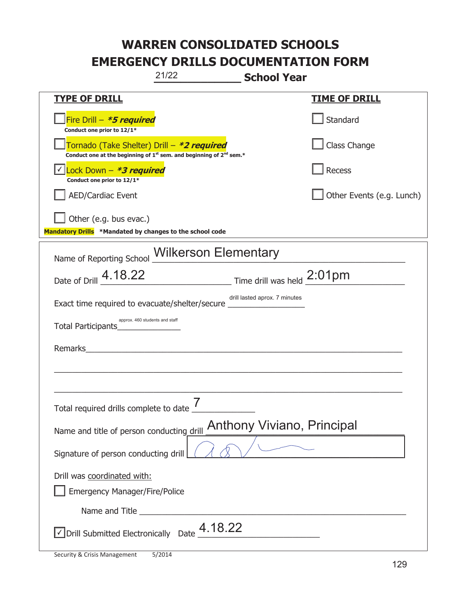|                                                                                    | 21/22                                                                                                                                     | <b>School Year</b>                                 |                           |
|------------------------------------------------------------------------------------|-------------------------------------------------------------------------------------------------------------------------------------------|----------------------------------------------------|---------------------------|
| <b>TYPE OF DRILL</b>                                                               |                                                                                                                                           |                                                    | <b>TIME OF DRILL</b>      |
| Fire Drill - *5 required<br>Conduct one prior to 12/1*                             |                                                                                                                                           |                                                    | Standard                  |
|                                                                                    | Tornado (Take Shelter) Drill – *2 required<br>Conduct one at the beginning of 1 <sup>st</sup> sem. and beginning of 2 <sup>nd</sup> sem.* |                                                    | Class Change              |
| Lock Down - *3 required<br>Conduct one prior to 12/1*                              |                                                                                                                                           |                                                    | Recess                    |
| <b>AED/Cardiac Event</b>                                                           |                                                                                                                                           |                                                    | Other Events (e.g. Lunch) |
| Other (e.g. bus evac.)<br>Mandatory Drills *Mandated by changes to the school code |                                                                                                                                           |                                                    |                           |
| Name of Reporting School <b>Wilkerson Elementary</b>                               |                                                                                                                                           |                                                    |                           |
| Date of Drill 4.18.22                                                              |                                                                                                                                           | $\frac{1}{2}$ Time drill was held $\frac{2:01}{2}$ |                           |
| Exact time required to evacuate/shelter/secure _                                   |                                                                                                                                           | drill lasted aprox. 7 minutes                      |                           |
| Total Participants                                                                 | approx. 460 students and staff                                                                                                            |                                                    |                           |
| Remarks                                                                            |                                                                                                                                           |                                                    |                           |
|                                                                                    |                                                                                                                                           |                                                    |                           |
| Total required drills complete to date $\frac{7}{4}$                               |                                                                                                                                           |                                                    |                           |
| Name and title of person conducting drill                                          |                                                                                                                                           | <b>Anthony Viviano, Principal</b>                  |                           |
| Signature of person conducting drill                                               |                                                                                                                                           |                                                    |                           |
| Drill was coordinated with:<br><b>Emergency Manager/Fire/Police</b>                |                                                                                                                                           |                                                    |                           |
|                                                                                    |                                                                                                                                           |                                                    |                           |
| $\vee$ Drill Submitted Electronically Date $\frac{4.18.22}{\cdots}$                |                                                                                                                                           |                                                    |                           |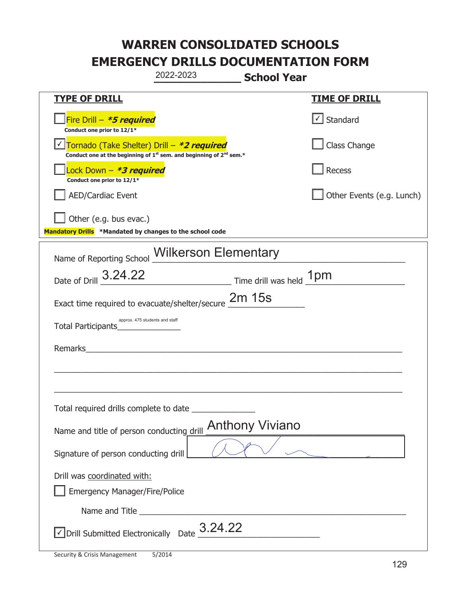|                                                                                    | 2022-2023                                                                                   | <b>School Year</b>     |                                   |
|------------------------------------------------------------------------------------|---------------------------------------------------------------------------------------------|------------------------|-----------------------------------|
| <u>TYPE OF DRILL</u>                                                               |                                                                                             |                        | <b>TIME OF DRILL</b>              |
| Fire Drill - *5 required<br>Conduct one prior to 12/1*                             |                                                                                             |                        | $\lfloor \angle \rfloor$ Standard |
| Tornado (Take Shelter) Drill – *2 required                                         | Conduct one at the beginning of 1 <sup>st</sup> sem. and beginning of 2 <sup>nd</sup> sem.* |                        | Class Change                      |
| Lock Down - *3 required<br>Conduct one prior to 12/1*                              |                                                                                             |                        | Recess                            |
| <b>AED/Cardiac Event</b>                                                           |                                                                                             |                        | Other Events (e.g. Lunch)         |
| Other (e.g. bus evac.)<br>Mandatory Drills *Mandated by changes to the school code |                                                                                             |                        |                                   |
| Name of Reporting School <b>Wilkerson Elementary</b>                               |                                                                                             |                        |                                   |
| Date of Drill 3.24.22                                                              | Time drill was held 1pm                                                                     |                        |                                   |
| Exact time required to evacuate/shelter/secure $2m$ 15s                            |                                                                                             |                        |                                   |
| approx. 475 students and staff<br>Total Participants                               |                                                                                             |                        |                                   |
| Remarks                                                                            |                                                                                             |                        |                                   |
|                                                                                    |                                                                                             |                        |                                   |
| Total required drills complete to date                                             |                                                                                             |                        |                                   |
| Name and title of person conducting drill                                          |                                                                                             | <b>Anthony Viviano</b> |                                   |
| Signature of person conducting drill                                               |                                                                                             |                        |                                   |
| Drill was coordinated with:                                                        |                                                                                             |                        |                                   |
| <b>Emergency Manager/Fire/Police</b>                                               |                                                                                             |                        |                                   |
|                                                                                    |                                                                                             |                        |                                   |
| $\sqrt{2}$ Drill Submitted Electronically Date $\frac{3.24.22}{\sqrt{2}}$          |                                                                                             |                        |                                   |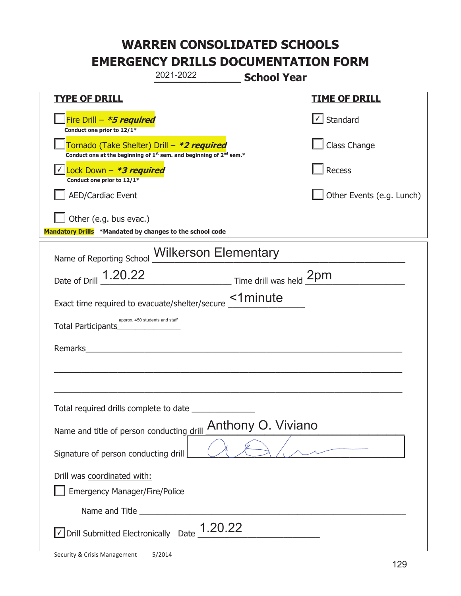|                                                                                    | 2021-2022                                                                                   | <b>School Year</b> |                           |
|------------------------------------------------------------------------------------|---------------------------------------------------------------------------------------------|--------------------|---------------------------|
| <u>TYPE OF DRILL</u>                                                               |                                                                                             |                    | <b>TIME OF DRILL</b>      |
| Fire Drill - *5 required<br>Conduct one prior to 12/1*                             |                                                                                             |                    | √ Standard                |
| Tornado (Take Shelter) Drill – *2 required                                         | Conduct one at the beginning of 1 <sup>st</sup> sem. and beginning of 2 <sup>nd</sup> sem.* |                    | Class Change              |
| Lock Down - *3 required<br>Conduct one prior to 12/1*                              |                                                                                             |                    | Recess                    |
| <b>AED/Cardiac Event</b>                                                           |                                                                                             |                    | Other Events (e.g. Lunch) |
| Other (e.g. bus evac.)<br>Mandatory Drills *Mandated by changes to the school code |                                                                                             |                    |                           |
|                                                                                    |                                                                                             |                    |                           |
| Name of Reporting School <b>Wilkerson Elementary</b>                               |                                                                                             |                    |                           |
| Date of Drill 1.20.22                                                              | Time drill was held 2pm                                                                     |                    |                           |
| Exact time required to evacuate/shelter/secure <b>1minute</b>                      |                                                                                             |                    |                           |
| Total Participants_                                                                | approx. 450 students and staff                                                              |                    |                           |
| Remarks                                                                            |                                                                                             |                    |                           |
|                                                                                    |                                                                                             |                    |                           |
|                                                                                    |                                                                                             |                    |                           |
| Total required drills complete to date                                             |                                                                                             |                    |                           |
| Name and title of person conducting drill                                          |                                                                                             | Anthony O. Viviano |                           |
| Signature of person conducting drill                                               |                                                                                             |                    |                           |
| Drill was coordinated with:                                                        |                                                                                             |                    |                           |
| <b>Emergency Manager/Fire/Police</b>                                               |                                                                                             |                    |                           |
|                                                                                    |                                                                                             |                    |                           |
| $\vee$ Drill Submitted Electronically Date $\_$ 1.20.22                            |                                                                                             |                    |                           |

I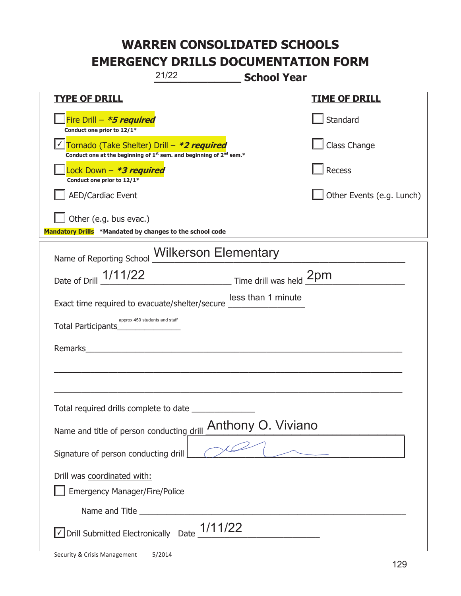| 21/22<br><b>School Year</b>                                                                                                 |                           |
|-----------------------------------------------------------------------------------------------------------------------------|---------------------------|
| <b>TYPE OF DRILL</b>                                                                                                        | <u>TIME OF DRILL</u>      |
| Fire Drill - *5 required<br>Conduct one prior to 12/1*                                                                      | Standard                  |
| Tornado (Take Shelter) Drill – *2 required<br>Conduct one at the beginning of $1^{st}$ sem. and beginning of $2^{nd}$ sem.* | Class Change              |
| ock Down - <b>*3 required</b><br>Conduct one prior to 12/1*                                                                 | Recess                    |
| <b>AED/Cardiac Event</b>                                                                                                    | Other Events (e.g. Lunch) |
| Other (e.g. bus evac.)                                                                                                      |                           |
| Mandatory Drills *Mandated by changes to the school code                                                                    |                           |
| Name of Reporting School <b>Wilkerson Elementary</b>                                                                        |                           |
| Date of Drill 1/11/22 Time drill was held 2pm                                                                               |                           |
| less than 1 minute<br>Exact time required to evacuate/shelter/secure "                                                      |                           |
| approx 450 students and staff<br>Total Participants____________                                                             |                           |
| Remarks<br><u> 1980 - Jan Samuel Barbara, martin a</u>                                                                      |                           |
|                                                                                                                             |                           |
|                                                                                                                             |                           |
| Total required drills complete to date                                                                                      |                           |
| Anthony O. Viviano<br>Name and title of person conducting drill                                                             |                           |
| Signature of person conducting drill                                                                                        |                           |
| Drill was coordinated with:                                                                                                 |                           |
| <b>Emergency Manager/Fire/Police</b>                                                                                        |                           |
|                                                                                                                             |                           |
| $\vee$ Drill Submitted Electronically Date $\frac{1}{1122}$                                                                 |                           |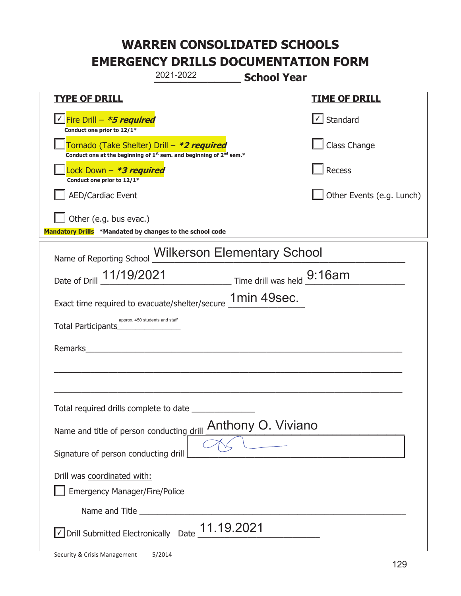|                                                                                                                                           | 2021-2022                                                                 | <b>School Year</b>        |
|-------------------------------------------------------------------------------------------------------------------------------------------|---------------------------------------------------------------------------|---------------------------|
| <b>TYPE OF DRILL</b>                                                                                                                      |                                                                           | <u>TIME OF DRILL</u>      |
| <u>√ Fire Drill – <i>*5 required</i></u><br>Conduct one prior to 12/1*                                                                    |                                                                           | $\cup$ Standard           |
| Tornado (Take Shelter) Drill – *2 required<br>Conduct one at the beginning of 1 <sup>st</sup> sem. and beginning of 2 <sup>nd</sup> sem.* |                                                                           | Class Change              |
| Lock Down – <b>*<i>3 required</i></b><br>Conduct one prior to 12/1*                                                                       |                                                                           | Recess                    |
| <b>AED/Cardiac Event</b>                                                                                                                  |                                                                           | Other Events (e.g. Lunch) |
| Other (e.g. bus evac.)                                                                                                                    |                                                                           |                           |
| Mandatory Drills *Mandated by changes to the school code                                                                                  |                                                                           |                           |
| Name of Reporting School                                                                                                                  | <b>Wilkerson Elementary School</b>                                        |                           |
|                                                                                                                                           | Date of Drill 11/19/2021 Time drill was held 9:16am                       |                           |
|                                                                                                                                           | Exact time required to evacuate/shelter/secure 1min 49sec.                |                           |
| approx. 450 students and staff<br>Total Participants_                                                                                     |                                                                           |                           |
| Remarks                                                                                                                                   |                                                                           |                           |
|                                                                                                                                           |                                                                           |                           |
|                                                                                                                                           |                                                                           |                           |
| Total required drills complete to date                                                                                                    |                                                                           |                           |
| Name and title of person conducting drill                                                                                                 | Anthony O. Viviano                                                        |                           |
| Signature of person conducting drill                                                                                                      |                                                                           |                           |
| Drill was coordinated with:                                                                                                               |                                                                           |                           |
| <b>Emergency Manager/Fire/Police</b>                                                                                                      |                                                                           |                           |
|                                                                                                                                           |                                                                           |                           |
|                                                                                                                                           | JDrill Submitted Electronically Date $\underline{\hspace{1em}11.19.2021}$ |                           |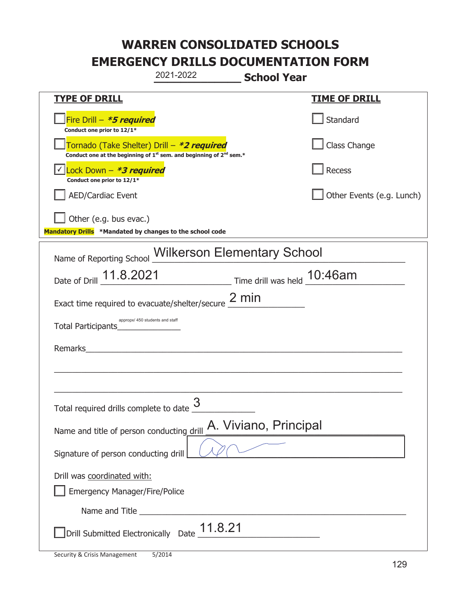|                                                                                    | 2021-2022                                                                                                                   | <b>School Year</b>                                  |
|------------------------------------------------------------------------------------|-----------------------------------------------------------------------------------------------------------------------------|-----------------------------------------------------|
| <u>TYPE OF DRILL</u>                                                               |                                                                                                                             | <u>TIME OF DRILL</u>                                |
| Fire Drill - *5 required<br>Conduct one prior to 12/1*                             |                                                                                                                             | Standard                                            |
|                                                                                    | Tornado (Take Shelter) Drill – *2 required<br>Conduct one at the beginning of $1^{st}$ sem. and beginning of $2^{nd}$ sem.* | Class Change                                        |
| Lock Down - *3 required<br>Conduct one prior to 12/1*                              |                                                                                                                             | Recess                                              |
| <b>AED/Cardiac Event</b>                                                           |                                                                                                                             | Other Events (e.g. Lunch)                           |
| Other (e.g. bus evac.)<br>Mandatory Drills *Mandated by changes to the school code |                                                                                                                             |                                                     |
|                                                                                    | Name of Reporting School Wilkerson Elementary School                                                                        |                                                     |
|                                                                                    |                                                                                                                             | Date of Drill 11.8.2021 Time drill was held 10:46am |
|                                                                                    | Exact time required to evacuate/shelter/secure $2 \text{ min}$                                                              |                                                     |
| Total Participants                                                                 | appropx/ 450 students and staff                                                                                             |                                                     |
| Remarks                                                                            |                                                                                                                             |                                                     |
|                                                                                    |                                                                                                                             |                                                     |
| Total required drills complete to date                                             | 3                                                                                                                           |                                                     |
| Name and title of person conducting drill                                          |                                                                                                                             | A. Viviano, Principal                               |
| Signature of person conducting drill                                               |                                                                                                                             |                                                     |
| Drill was coordinated with:<br><b>Emergency Manager/Fire/Police</b>                |                                                                                                                             |                                                     |
|                                                                                    |                                                                                                                             |                                                     |
|                                                                                    | Drill Submitted Electronically Date $\underline{\hspace{1em}11.8.21}$                                                       |                                                     |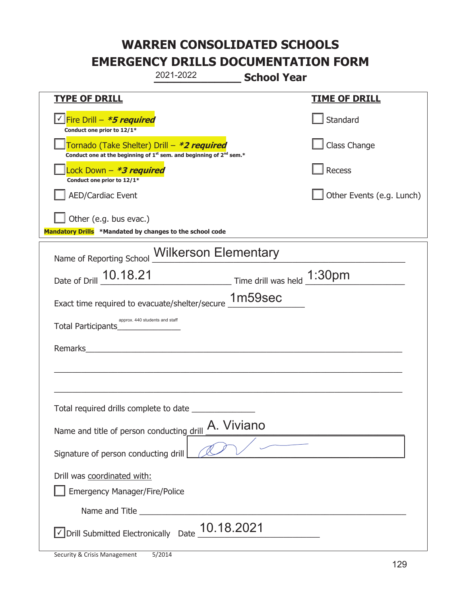|                                                                                    | 2021-2022                                                                                   | <b>School Year</b> |                           |
|------------------------------------------------------------------------------------|---------------------------------------------------------------------------------------------|--------------------|---------------------------|
| <b>TYPE OF DRILL</b>                                                               |                                                                                             |                    | <b>TIME OF DRILL</b>      |
| <u>√ Fire Drill – <i>*5 required</i></u><br>Conduct one prior to 12/1*             |                                                                                             |                    | Standard                  |
| Tornado (Take Shelter) Drill – *2 required                                         | Conduct one at the beginning of 1 <sup>st</sup> sem. and beginning of 2 <sup>nd</sup> sem.* |                    | Class Change              |
| Lock Down - <b><i>*3 required</i></b><br>Conduct one prior to 12/1*                |                                                                                             |                    | Recess                    |
| <b>AED/Cardiac Event</b>                                                           |                                                                                             |                    | Other Events (e.g. Lunch) |
| Other (e.g. bus evac.)<br>Mandatory Drills *Mandated by changes to the school code |                                                                                             |                    |                           |
| Name of Reporting School Wilkerson Elementary                                      |                                                                                             |                    |                           |
| Date of Drill 10.18.21                                                             | $\frac{1:30pm}{\text{Time drill was held}}$                                                 |                    |                           |
| Exact time required to evacuate/shelter/secure 1m59sec                             |                                                                                             |                    |                           |
| approx. 440 students and staff<br>Total Participants                               |                                                                                             |                    |                           |
| Remarks                                                                            |                                                                                             |                    |                           |
|                                                                                    |                                                                                             |                    |                           |
| Total required drills complete to date                                             |                                                                                             |                    |                           |
| Name and title of person conducting drill                                          | A. Viviano                                                                                  |                    |                           |
| Signature of person conducting drill                                               |                                                                                             |                    |                           |
| Drill was coordinated with:<br><b>Emergency Manager/Fire/Police</b>                |                                                                                             |                    |                           |
|                                                                                    |                                                                                             |                    |                           |
| √ Drill Submitted Electronically Date                                              | 10.18.2021                                                                                  |                    |                           |